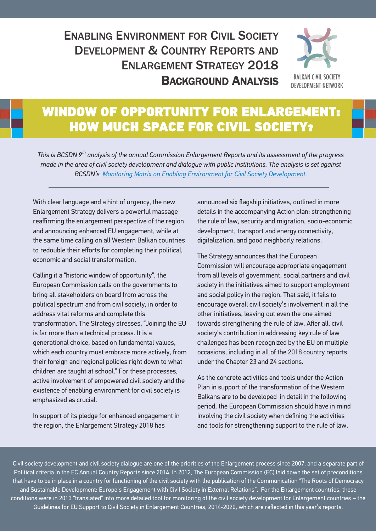## ENABLING ENVIRONMENT FOR CIVIL SOCIETY DEVELOPMENT & COUNTRY REPORTS AND ENI ARGEMENT STRATEGY 2018 BACKGROUND ANALYSIS



## WINDOW OF OPPORTUNITY FOR ENLARGEMENT: HOW MUCH SPACE FOR CIVIL SOCIETY?

*This is BCSDN 9th analysis of the annual Commission Enlargement Reports and its assessment of the progress made in the area of civil society development and dialogue with public institutions. The analysis is set against BCSDN's [Monitoring Matrix on Enabling Environment for Civil Society Development](file:///C:/Users/anja/Documents/Aiseesoft Studio).* 

With clear language and a hint of urgency, the new Enlargement Strategy delivers a powerful massage reaffirming the enlargement perspective of the region and announcing enhanced EU engagement, while at the same time calling on all Western Balkan countries to redouble their efforts for completing their political, economic and social transformation.

Calling it a "historic window of opportunity", the European Commission calls on the governments to bring all stakeholders on board from across the political spectrum and from civil society, in order to address vital reforms and complete this transformation. The Strategy stresses, "Joining the EU is far more than a technical process. It is a generational choice, based on fundamental values, which each country must embrace more actively, from their foreign and regional policies right down to what children are taught at school." For these processes, active involvement of empowered civil society and the existence of enabling environment for civil society is emphasized as crucial.

In support of its pledge for enhanced engagement in the region, the Enlargement Strategy 2018 has

announced six flagship initiatives, outlined in more details in the accompanying Action plan: strengthening the rule of law, security and migration, socio-economic development, transport and energy connectivity, digitalization, and good neighborly relations.

The Strategy announces that the European Commission will encourage appropriate engagement from all levels of government, social partners and civil society in the initiatives aimed to support employment and social policy in the region. That said, it fails to encourage overall civil society's involvement in all the other initiatives, leaving out even the one aimed towards strengthening the rule of law. After all, civil society's contribution in addressing key rule of law challenges has been recognized by the EU on multiple occasions, including in all of the 2018 country reports under the Chapter 23 and 24 sections.

As the concrete activities and tools under the Action Plan in support of the transformation of the Western Balkans are to be developed in detail in the following period, the European Commission should have in mind involving the civil society when defining the activities and tools for strengthening support to the rule of law.

Civil society development and civil society dialogue are one of the priorities of the Enlargement process since 2007, and a separate part of Political criteria in the EC Annual Country Reports since 2014. In 2012, The European Commission (EC) laid down the set of preconditions that have to be in place in a country for functioning of the civil society with the publication of the Communication "The Roots of Democracy and Sustainable Development: Europe's Engagement with Civil Society in External Relations". For the Enlargement countries, these conditions were in 2013 "translated" into more detailed tool for monitoring of the civil society development for Enlargement countries – the Guidelines for EU Support to Civil Society in Enlargement Countries, 2014-2020, which are reflected in this year's reports.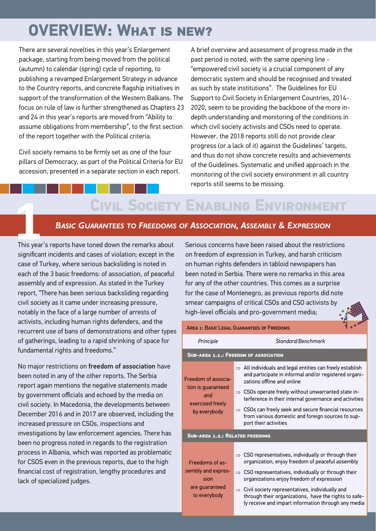# **OVERVIEW: What is new?**

There are several novelties in this year's Enlargement package, starting from being moved from the political (autumn) to calendar (spring) cycle of reporting, to publishing a revamped Enlargement Strategy in advance to the Country reports, and concrete flagship initiatives in support of the transformation of the Western Balkans. The focus on rule of law is further strengthened as Chapters 23 and 24 in this year's reports are moved from "Ability to assume obligations from membership", to the first section of the report together with the Political criteria.

Civil society remains to be firmly set as one of the four pillars of Democracy, as part of the Political Criteria for EU accession, presented in a separate section in each report.

A brief overview and assessment of progress made in the past period is noted, with the same opening line - "empowered civil society is a crucial component of any democratic system and should be recognised and treated as such by state institutions". The Guidelines for EU Support to Civil Society in Enlargement Countries, 2014- 2020, seem to be providing the backbone of the more indepth understanding and monitoring of the conditions in which civil society activists and CSOs need to operate. However, the 2018 reports still do not provide clear progress (or a lack of it) against the Guidelines' targets, and thus do not show concrete results and achievements of the Guidelines. Systematic and unified approach in the monitoring of the civil society environment in all country reports still seems to be missing.

## **Civil Society Enabling Environment**

#### *BASIC GUARANTEES TO FREEDOMS OF ASSOCIATION, ASSEMBLY & EXPRESSION*

**ETHIS OCIETY**<br> **1** BASIC GUARANTEES TO FREEDOMS<br>
This year's reports have toned down the remarks about significant incidents and cases of violation; except in the case of Turkey, where serious backsliding is noted in each of the 3 basic freedoms: of association, of peaceful assembly and of expression. As stated in the Turkey report, "There has been serious backsliding regarding civil society as it came under increasing pressure, notably in the face of a large number of arrests of activists, including human rights defenders, and the recurrent use of bans of demonstrations and other types of gatherings, leading to a rapid shrinking of space for fundamental rights and freedoms."

No major restrictions on freedom of association have been noted in any of the other reports. The Serbia report again mentions the negative statements made by government officials and echoed by the media on civil society. In Macedonia, the developments between December 2016 and in 2017 are observed, including the increased pressure on CSOs, inspections and investigations by law enforcement agencies. There has been no progress noted in regards to the registration process in Albania, which was reported as problematic for CSOS even in the previous reports, due to the high financial cost of registration, lengthy procedures and lack of specialized judges.

Serious concerns have been raised about the restrictions on freedom of expression in Turkey, and harsh criticism on human rights defenders in tabloid newspapers has been noted in Serbia. There were no remarks in this area for any of the other countries. This comes as a surprise for the case of Montenegro, as previous reports did note smear campaigns of critical CSOs and CSO activists b[y](http://monitoringmatrix.net/)  high-level officials and pro-government media;

| AREA 1: BASIC LEGAL GUARANTEES OF FREEDOMS                                           |                                                                                                                                                                                                                                                                                                                                                                                                                        |  |
|--------------------------------------------------------------------------------------|------------------------------------------------------------------------------------------------------------------------------------------------------------------------------------------------------------------------------------------------------------------------------------------------------------------------------------------------------------------------------------------------------------------------|--|
| Principle                                                                            | Standard/Benchmark                                                                                                                                                                                                                                                                                                                                                                                                     |  |
| <b>SUB-AREA 1.1.: FREEDOM OF ASSOCIATION</b>                                         |                                                                                                                                                                                                                                                                                                                                                                                                                        |  |
| Freedom of associa-<br>tion is guaranteed<br>and<br>exercised freely<br>by everybody | $\Rightarrow$ All individuals and legal entities can freely establish<br>and participate in informal and/or registered organi-<br>zations offline and online                                                                                                                                                                                                                                                           |  |
|                                                                                      | $\Rightarrow$ CSOs operate freely without unwarranted state in-<br>terference in their internal governance and activities                                                                                                                                                                                                                                                                                              |  |
|                                                                                      | $\Rightarrow$ CSOs can freely seek and secure financial resources<br>from various domestic and foreign sources to sup-<br>port their activities                                                                                                                                                                                                                                                                        |  |
| <b>SUB-AREA 1.2.: RELATED FREEDOMS</b>                                               |                                                                                                                                                                                                                                                                                                                                                                                                                        |  |
| Freedoms of as-<br>sembly and expres-<br>sion<br>are quaranteed<br>to everybody      | $\Rightarrow$ CSO representatives, individually or through their<br>organization, enjoy freedom of peaceful assembly<br>$\Rightarrow$ CSO representatives, individually or through their<br>organizations enjoy freedom of expression<br>$\Rightarrow$ Civil society representatives, individually and<br>through their organizations, have the rights to safe-<br>ly receive and impart information through any media |  |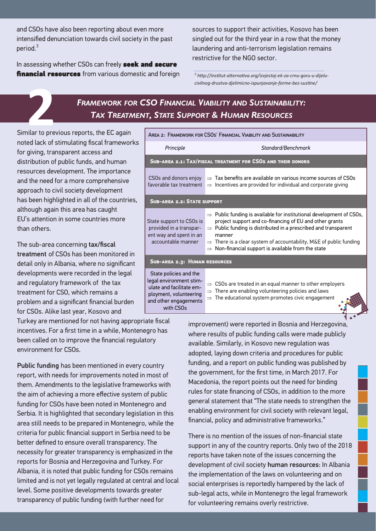and CSOs have also been reporting about even more intensified denunciation towards civil society in the past period.<sup>3</sup>

In assessing whether CSOs can freely seek and secure financial resources from various domestic and foreign sources to support their activities, Kosovo has been singled out for the third year in a row that the money laundering and anti-terrorism legislation remains restrictive for the NGO sector.

*3 http://institut-alternativa.org/izvjestaj-ek-za-crnu-goru-u-dijelucivilnog-drustva-djelimicno-ispunjavanje-forme-bez-sustine/* 

### *FRAMEWORK FOR CSO FINANCIAL VIABILITY AND SUSTAINABILITY: TAX TREATMENT, STATE SUPPORT & HUMAN RESOURCES*

FRAMEWORK FO<br> **22 TAX TREATA**<br>
22 Similar to previous reports, the EC again noted lack of stimulating fiscal frameworks for giving, transparent access and distribution of public funds, and human resources development. The importance and the need for a more comprehensive approach to civil society development has been highlighted in all of the countries, although again this area has caught EU's attention in some countries more than others.

The sub-area concerning tax/fiscal treatment of CSOs has been monitored in detail only in Albania, where no significant developments were recorded in the legal and regulatory framework of the tax treatment for CSO, which remains a problem and a significant financial burden for CSOs. Alike last year, Kosovo and



Turkey are mentioned for not having appropriate fiscal incentives. For a first time in a while, Montenegro has been called on to improve the financial regulatory environment for CSOs.

Public funding has been mentioned in every country report, with needs for improvements noted in most of them. Amendments to the legislative frameworks with the aim of achieving a more effective system of public funding for CSOs have been noted in Montenegro and Serbia. It is highlighted that secondary legislation in this area still needs to be prepared in Montenegro, while the criteria for public financial support in Serbia need to be better defined to ensure overall transparency. The necessity for greater transparency is emphasized in the reports for Bosnia and Herzegovina and Turkey. For Albania, it is noted that public funding for CSOs remains limited and is not yet legally regulated at central and local level. Some positive developments towards greater transparency of public funding (with further need for

improvement) were reported in Bosnia and Herzego[vina,](http://monitoringmatrix.net/)  where results of public funding calls were made publicly available. Similarly, in Kosovo new regulation was adopted, laying down criteria and procedures for public funding, and a report on public funding was published by the government, for the first time, in March 2017. For Macedonia, the report points out the need for binding rules for state financing of CSOs, in addition to the more general statement that "The state needs to strengthen the enabling environment for civil society with relevant legal, financial, policy and administrative frameworks."

There is no mention of the issues of non-financial state support in any of the country reports. Only two of the 2018 reports have taken note of the issues concerning the development of civil society human resources: In Albania the implementation of the laws on volunteering and on social enterprises is reportedly hampered by the lack of sub-legal acts, while in Montenegro the legal framework for volunteering remains overly restrictive.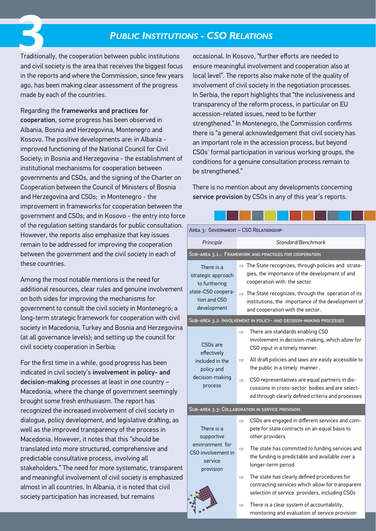### *PUBLIC INSTITUTIONS - CSO RELATIONS*

Traditionally, the cooperation between public institutions and civil society is the area that receives the biggest focus in the reports and where the Commission, since few years ago, has been making clear assessment of the progress made by each of the countries. **3**<br>Tradition

Regarding the frameworks and practices for cooperation, some progress has been observed in Albania, Bosnia and Herzegovina, Montenegro and Kosovo. The positive developments are: in Albania improved functioning of the National Council for Civil Society; in Bosnia and Herzegovina - the establishment of institutional mechanisms for cooperation between governments and CSOs, and the signing of the Charter on Cooperation between the Council of Ministers of Bosnia and Herzegovina and CSOs; in Montenegro - the improvement in frameworks for cooperation between the government and CSOs; and in Kosovo - the entry into force of the regulation setting standards for public consultation. However, the reports also emphasize that key issues remain to be addressed for improving the cooperation between the government and the civil society in each of these countries.

Among the most notable mentions is the need for additional resources, clear rules and genuine involvement on both sides for improving the mechanisms for government to consult the civil society in Montenegro; a long-term strategic framework for cooperation with civil society in Macedonia, Turkey and Bosnia and Herzegovina (at all governance levels); and setting up the council for civil society cooperation in Serbia;

For the first time in a while, good progress has been indicated in civil society's involvement in policy- and decision-making processes at least in one country – Macedonia, where the change of government seemingly brought some fresh enthusiasm. The report has recognized the increased involvement of civil society in dialogue, policy development, and legislative drafting, as well as the improved transparency of the process in Macedonia. However, it notes that this "should be translated into more structured, comprehensive and predictable consultative process, involving all stakeholders." The need for more systematic, transparent and meaningful involvement of civil society is emphasized almost in all countries. In Albania, it is noted that civil society participation has increased, but remains

occasional. In Kosovo, "further efforts are needed to ensure meaningful involvement and cooperation also at local level". The reports also make note of the quality of involvement of civil society in the negotiation processes. In Serbia, the report highlights that "the inclusiveness and transparency of the reform process, in particular on EU accession-related issues, need to be further strengthened." In Montenegro, the Commission confirms there is "a general acknowledgement that civil society has an important role in the accession process, but beyond CSOs' formal participation in various working groups, the conditions for a genuine consultation process remain to be strengthened."

There is no mention about any developments concerning service provision by CSOs in any of this year's reports.

| AREA 3: GOVERNMENT - CSO RELATIONSHIP                                                     |                                                                                                                                                                         |  |
|-------------------------------------------------------------------------------------------|-------------------------------------------------------------------------------------------------------------------------------------------------------------------------|--|
| Principle                                                                                 | Standard/Benchmark                                                                                                                                                      |  |
| SUB-AREA 3.1.: FRAMEWORK AND PRACTICES FOR COOPERATION                                    |                                                                                                                                                                         |  |
| There is a<br>strategic approach<br>to furthering                                         | $\Rightarrow$ The State recognizes, through policies and strate-<br>gies, the importance of the development of and<br>cooperation with the sector                       |  |
| state-CSO coopera-<br>tion and CSO<br>development                                         | $\Rightarrow$ The State recognizes, through the operation of its<br>institutions, the importance of the development of<br>and cooperation with the sector.              |  |
| SUB-AREA 3.2: INVOLVEMENT IN POLICY- AND DECISION-MAKING PROCESSES                        |                                                                                                                                                                         |  |
| CSO <sub>s</sub> are<br>effectively                                                       | There are standards enabling CSO<br>$\Rightarrow$<br>involvement in decision-making, which allow for<br>CSO input in a timely manner.                                   |  |
| included in the<br>policy and                                                             | All draft policies and laws are easily accessible to<br>$\Rightarrow$<br>the public in a timely manner.                                                                 |  |
| decision-making<br>process                                                                | CSO representatives are equal partners in dis-<br>$\Rightarrow$<br>cussions in cross-sector bodies and are select-<br>ed through clearly defined criteria and processes |  |
| SUB-AREA 3.3: COLLABORATION IN SERVICE PROVISION                                          |                                                                                                                                                                         |  |
| There is a<br>supportive<br>environment for<br>CSO involvement in<br>service<br>provision | CSOs are engaged in different services and com-<br>$\Rightarrow$<br>pete for state contracts on an equal basis to<br>other providers                                    |  |
|                                                                                           | The state has committed to funding services and<br>$\Rightarrow$<br>the funding is predictable and available over a<br>longer-term period                               |  |
|                                                                                           | The state has clearly defined procedures for<br>$\Rightarrow$<br>contracting services which allow for transparent<br>selection of service providers, including CSOs     |  |
|                                                                                           | There is a clear system of accountability,<br>$\Rightarrow$<br>monitoring and evaluation of service provision                                                           |  |